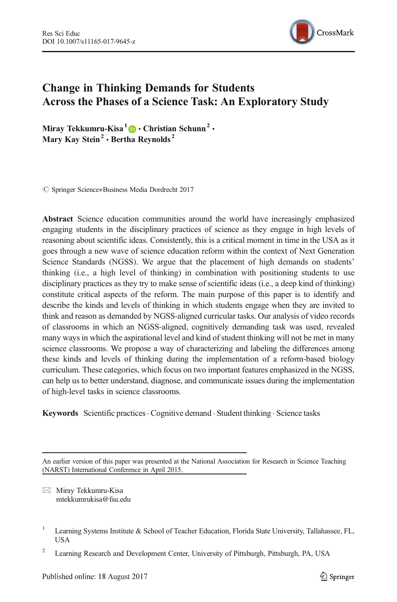

# Change in Thinking Demands for Students Across the Phases of a Science Task: An Exploratory Study

Miray Tekkumru-Kisa<sup>1</sup>  $\bullet$  Christian Schunn<sup>2</sup>  $\cdot$ Mary Kay Stein<sup>2</sup> · Bertha Reynolds<sup>2</sup>

 $\oslash$  Springer Science+Business Media Dordrecht 2017

Abstract Science education communities around the world have increasingly emphasized engaging students in the disciplinary practices of science as they engage in high levels of reasoning about scientific ideas. Consistently, this is a critical moment in time in the USA as it goes through a new wave of science education reform within the context of Next Generation Science Standards (NGSS). We argue that the placement of high demands on students' thinking (i.e., a high level of thinking) in combination with positioning students to use disciplinary practices as they try to make sense of scientific ideas (i.e., a deep kind of thinking) constitute critical aspects of the reform. The main purpose of this paper is to identify and describe the kinds and levels of thinking in which students engage when they are invited to think and reason as demanded by NGSS-aligned curricular tasks. Our analysis of video records of classrooms in which an NGSS-aligned, cognitively demanding task was used, revealed many ways in which the aspirational level and kind of student thinking will not be met in many science classrooms. We propose a way of characterizing and labeling the differences among these kinds and levels of thinking during the implementation of a reform-based biology curriculum. These categories, which focus on two important features emphasized in the NGSS, can help us to better understand, diagnose, and communicate issues during the implementation of high-level tasks in science classrooms.

Keywords Scientific practices. Cognitive demand . Student thinking . Science tasks

An earlier version of this paper was presented at the National Association for Research in Science Teaching (NARST) International Conference in April 2015.

 $\boxtimes$  Miray Tekkumru-Kisa mtekkumrukisa@fsu.edu

<sup>&</sup>lt;sup>1</sup> Learning Systems Institute & School of Teacher Education, Florida State University, Tallahassee, FL, USA

<sup>&</sup>lt;sup>2</sup> Learning Research and Development Center, University of Pittsburgh, Pittsburgh, PA, USA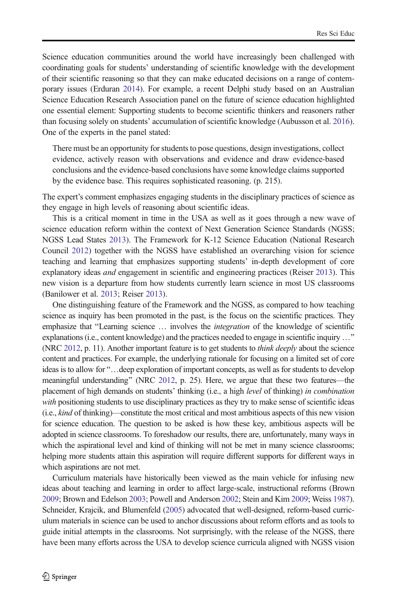Science education communities around the world have increasingly been challenged with coordinating goals for students' understanding of scientific knowledge with the development of their scientific reasoning so that they can make educated decisions on a range of contemporary issues (Erduran [2014\)](#page-22-0). For example, a recent Delphi study based on an Australian Science Education Research Association panel on the future of science education highlighted one essential element: Supporting students to become scientific thinkers and reasoners rather than focusing solely on students' accumulation of scientific knowledge (Aubusson et al. [2016](#page-21-0)). One of the experts in the panel stated:

There must be an opportunity for students to pose questions, design investigations, collect evidence, actively reason with observations and evidence and draw evidence-based conclusions and the evidence-based conclusions have some knowledge claims supported by the evidence base. This requires sophisticated reasoning. (p. 215).

The expert's comment emphasizes engaging students in the disciplinary practices of science as they engage in high levels of reasoning about scientific ideas.

This is a critical moment in time in the USA as well as it goes through a new wave of science education reform within the context of Next Generation Science Standards (NGSS; NGSS Lead States [2013\)](#page-23-0). The Framework for K-12 Science Education (National Research Council [2012](#page-23-0)) together with the NGSS have established an overarching vision for science teaching and learning that emphasizes supporting students' in-depth development of core explanatory ideas *and* engagement in scientific and engineering practices (Reiser [2013](#page-23-0)). This new vision is a departure from how students currently learn science in most US classrooms (Banilower et al. [2013](#page-21-0); Reiser [2013](#page-23-0)).

One distinguishing feature of the Framework and the NGSS, as compared to how teaching science as inquiry has been promoted in the past, is the focus on the scientific practices. They emphasize that "Learning science ... involves the *integration* of the knowledge of scientific explanations (i.e., content knowledge) and the practices needed to engage in scientific inquiry ..." (NRC [2012,](#page-23-0) p. 11). Another important feature is to get students to *think deeply* about the science content and practices. For example, the underlying rationale for focusing on a limited set of core ideas is to allow for "... deep exploration of important concepts, as well as for students to develop meaningful understanding" (NRC [2012,](#page-23-0) p. 25). Here, we argue that these two features—the placement of high demands on students' thinking (i.e., a high level of thinking) in combination with positioning students to use disciplinary practices as they try to make sense of scientific ideas (i.e., kind of thinking)—constitute the most critical and most ambitious aspects of this new vision for science education. The question to be asked is how these key, ambitious aspects will be adopted in science classrooms. To foreshadow our results, there are, unfortunately, many ways in which the aspirational level and kind of thinking will not be met in many science classrooms; helping more students attain this aspiration will require different supports for different ways in which aspirations are not met.

Curriculum materials have historically been viewed as the main vehicle for infusing new ideas about teaching and learning in order to affect large-scale, instructional reforms (Brown [2009](#page-21-0); Brown and Edelson [2003](#page-21-0); Powell and Anderson [2002](#page-23-0); Stein and Kim [2009](#page-23-0); Weiss [1987](#page-24-0)). Schneider, Krajcik, and Blumenfeld [\(2005\)](#page-23-0) advocated that well-designed, reform-based curriculum materials in science can be used to anchor discussions about reform efforts and as tools to guide initial attempts in the classrooms. Not surprisingly, with the release of the NGSS, there have been many efforts across the USA to develop science curricula aligned with NGSS vision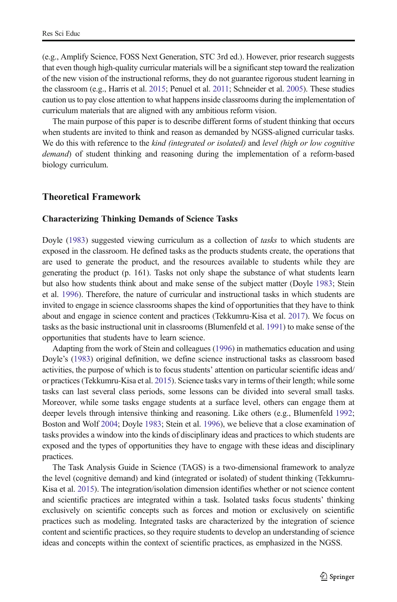(e.g., Amplify Science, FOSS Next Generation, STC 3rd ed.). However, prior research suggests that even though high-quality curricular materials will be a significant step toward the realization of the new vision of the instructional reforms, they do not guarantee rigorous student learning in the classroom (e.g., Harris et al. [2015](#page-22-0); Penuel et al. [2011;](#page-23-0) Schneider et al. [2005\)](#page-23-0). These studies caution us to pay close attention to what happensinside classrooms during the implementation of curriculum materials that are aligned with any ambitious reform vision.

The main purpose of this paper is to describe different forms of student thinking that occurs when students are invited to think and reason as demanded by NGSS-aligned curricular tasks. We do this with reference to the *kind (integrated or isolated)* and *level (high or low cognitive* demand) of student thinking and reasoning during the implementation of a reform-based biology curriculum.

### Theoretical Framework

#### Characterizing Thinking Demands of Science Tasks

Doyle [\(1983\)](#page-22-0) suggested viewing curriculum as a collection of *tasks* to which students are exposed in the classroom. He defined tasks as the products students create, the operations that are used to generate the product, and the resources available to students while they are generating the product (p. 161). Tasks not only shape the substance of what students learn but also how students think about and make sense of the subject matter (Doyle [1983](#page-22-0); Stein et al. [1996\)](#page-23-0). Therefore, the nature of curricular and instructional tasks in which students are invited to engage in science classrooms shapes the kind of opportunities that they have to think about and engage in science content and practices (Tekkumru-Kisa et al. [2017\)](#page-24-0). We focus on tasks as the basic instructional unit in classrooms (Blumenfeld et al. [1991](#page-21-0)) to make sense of the opportunities that students have to learn science.

Adapting from the work of Stein and colleagues [\(1996\)](#page-23-0) in mathematics education and using Doyle's ([1983](#page-22-0)) original definition, we define science instructional tasks as classroom based activities, the purpose of which is to focus students' attention on particular scientific ideas and/ or practices (Tekkumru-Kisa et al. [2015\)](#page-23-0). Science tasks vary in terms of their length; while some tasks can last several class periods, some lessons can be divided into several small tasks. Moreover, while some tasks engage students at a surface level, others can engage them at deeper levels through intensive thinking and reasoning. Like others (e.g., Blumenfeld [1992](#page-21-0); Boston and Wolf [2004](#page-21-0); Doyle [1983;](#page-22-0) Stein et al. [1996\)](#page-23-0), we believe that a close examination of tasks provides a window into the kinds of disciplinary ideas and practices to which students are exposed and the types of opportunities they have to engage with these ideas and disciplinary practices.

The Task Analysis Guide in Science (TAGS) is a two-dimensional framework to analyze the level (cognitive demand) and kind (integrated or isolated) of student thinking (Tekkumru-Kisa et al. [2015](#page-23-0)). The integration/isolation dimension identifies whether or not science content and scientific practices are integrated within a task. Isolated tasks focus students' thinking exclusively on scientific concepts such as forces and motion or exclusively on scientific practices such as modeling. Integrated tasks are characterized by the integration of science content and scientific practices, so they require students to develop an understanding of science ideas and concepts within the context of scientific practices, as emphasized in the NGSS.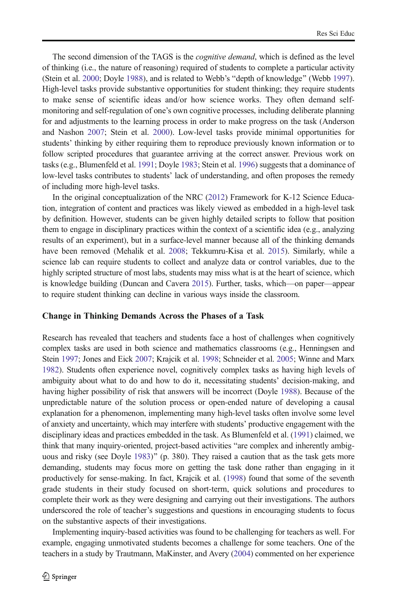The second dimension of the TAGS is the *cognitive demand*, which is defined as the level of thinking (i.e., the nature of reasoning) required of students to complete a particular activity (Stein et al. [2000;](#page-23-0) Doyle [1988](#page-22-0)), and is related to Webb's "depth of knowledge" (Webb [1997](#page-24-0)). High-level tasks provide substantive opportunities for student thinking; they require students to make sense of scientific ideas and/or how science works. They often demand selfmonitoring and self-regulation of one's own cognitive processes, including deliberate planning for and adjustments to the learning process in order to make progress on the task (Anderson and Nashon [2007;](#page-21-0) Stein et al. [2000\)](#page-23-0). Low-level tasks provide minimal opportunities for students' thinking by either requiring them to reproduce previously known information or to follow scripted procedures that guarantee arriving at the correct answer. Previous work on tasks (e.g., Blumenfeld et al. [1991](#page-21-0); Doyle [1983;](#page-22-0) Stein et al. [1996](#page-23-0)) suggests that a dominance of low-level tasks contributes to students' lack of understanding, and often proposes the remedy of including more high-level tasks.

In the original conceptualization of the NRC ([2012](#page-23-0)) Framework for K-12 Science Education, integration of content and practices was likely viewed as embedded in a high-level task by definition. However, students can be given highly detailed scripts to follow that position them to engage in disciplinary practices within the context of a scientific idea (e.g., analyzing results of an experiment), but in a surface-level manner because all of the thinking demands have been removed (Mehalik et al. [2008](#page-22-0); Tekkumru-Kisa et al. [2015](#page-23-0)). Similarly, while a science lab can require students to collect and analyze data or control variables, due to the highly scripted structure of most labs, students may miss what is at the heart of science, which is knowledge building (Duncan and Cavera [2015](#page-22-0)). Further, tasks, which—on paper—appear to require student thinking can decline in various ways inside the classroom.

#### Change in Thinking Demands Across the Phases of a Task

Research has revealed that teachers and students face a host of challenges when cognitively complex tasks are used in both science and mathematics classrooms (e.g., Henningsen and Stein [1997;](#page-22-0) Jones and Eick [2007](#page-22-0); Krajcik et al. [1998;](#page-22-0) Schneider et al. [2005;](#page-23-0) Winne and Marx [1982](#page-24-0)). Students often experience novel, cognitively complex tasks as having high levels of ambiguity about what to do and how to do it, necessitating students' decision-making, and having higher possibility of risk that answers will be incorrect (Doyle [1988](#page-22-0)). Because of the unpredictable nature of the solution process or open-ended nature of developing a causal explanation for a phenomenon, implementing many high-level tasks often involve some level of anxiety and uncertainty, which may interfere with students' productive engagement with the disciplinary ideas and practices embedded in the task. As Blumenfeld et al. ([1991](#page-21-0)) claimed, we think that many inquiry-oriented, project-based activities "are complex and inherently ambig-uous and risky (see Doyle [1983\)](#page-22-0)" (p. 380). They raised a caution that as the task gets more demanding, students may focus more on getting the task done rather than engaging in it productively for sense-making. In fact, Krajcik et al. ([1998](#page-22-0)) found that some of the seventh grade students in their study focused on short-term, quick solutions and procedures to complete their work as they were designing and carrying out their investigations. The authors underscored the role of teacher's suggestions and questions in encouraging students to focus on the substantive aspects of their investigations.

Implementing inquiry-based activities was found to be challenging for teachers as well. For example, engaging unmotivated students becomes a challenge for some teachers. One of the teachers in a study by Trautmann, MaKinster, and Avery ([2004](#page-24-0)) commented on her experience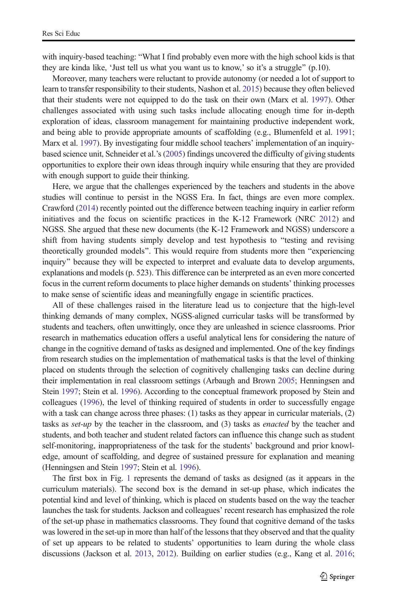with inquiry-based teaching: "What I find probably even more with the high school kids is that they are kinda like, 'Just tell us what you want us to know,' so it's a struggle^ (p.10).

Moreover, many teachers were reluctant to provide autonomy (or needed a lot of support to learn to transfer responsibility to their students, Nashon et al. [2015](#page-22-0)) because they often believed that their students were not equipped to do the task on their own (Marx et al. [1997](#page-22-0)). Other challenges associated with using such tasks include allocating enough time for in-depth exploration of ideas, classroom management for maintaining productive independent work, and being able to provide appropriate amounts of scaffolding (e.g., Blumenfeld et al. [1991](#page-21-0); Marx et al. [1997](#page-22-0)). By investigating four middle school teachers' implementation of an inquirybased science unit, Schneider et al.'s [\(2005\)](#page-23-0) findings uncovered the difficulty of giving students opportunities to explore their own ideas through inquiry while ensuring that they are provided with enough support to guide their thinking.

Here, we argue that the challenges experienced by the teachers and students in the above studies will continue to persist in the NGSS Era. In fact, things are even more complex. Crawford [\(2014\)](#page-22-0) recently pointed out the difference between teaching inquiry in earlier reform initiatives and the focus on scientific practices in the K-12 Framework (NRC [2012](#page-23-0)) and NGSS. She argued that these new documents (the K-12 Framework and NGSS) underscore a shift from having students simply develop and test hypothesis to "testing and revising theoretically grounded models". This would require from students more then "experiencing inquiry" because they will be expected to interpret and evaluate data to develop arguments, explanations and models (p. 523). This difference can be interpreted as an even more concerted focus in the current reform documents to place higher demands on students' thinking processes to make sense of scientific ideas and meaningfully engage in scientific practices.

All of these challenges raised in the literature lead us to conjecture that the high-level thinking demands of many complex, NGSS-aligned curricular tasks will be transformed by students and teachers, often unwittingly, once they are unleashed in science classrooms. Prior research in mathematics education offers a useful analytical lens for considering the nature of change in the cognitive demand of tasks as designed and implemented. One of the key findings from research studies on the implementation of mathematical tasks is that the level of thinking placed on students through the selection of cognitively challenging tasks can decline during their implementation in real classroom settings (Arbaugh and Brown [2005](#page-21-0); Henningsen and Stein [1997;](#page-22-0) Stein et al. [1996](#page-23-0)). According to the conceptual framework proposed by Stein and colleagues ([1996](#page-23-0)), the level of thinking required of students in order to successfully engage with a task can change across three phases: (1) tasks as they appear in curricular materials, (2) tasks as *set-up* by the teacher in the classroom, and (3) tasks as *enacted* by the teacher and students, and both teacher and student related factors can influence this change such as student self-monitoring, inappropriateness of the task for the students' background and prior knowledge, amount of scaffolding, and degree of sustained pressure for explanation and meaning (Henningsen and Stein [1997;](#page-22-0) Stein et al. [1996](#page-23-0)).

The first box in Fig. [1](#page-5-0) represents the demand of tasks as designed (as it appears in the curriculum materials). The second box is the demand in set-up phase, which indicates the potential kind and level of thinking, which is placed on students based on the way the teacher launches the task for students. Jackson and colleagues' recent research has emphasized the role of the set-up phase in mathematics classrooms. They found that cognitive demand of the tasks was lowered in the set-up in more than half of the lessons that they observed and that the quality of set up appears to be related to students' opportunities to learn during the whole class discussions (Jackson et al. [2013,](#page-22-0) [2012](#page-22-0)). Building on earlier studies (e.g., Kang et al. [2016](#page-22-0);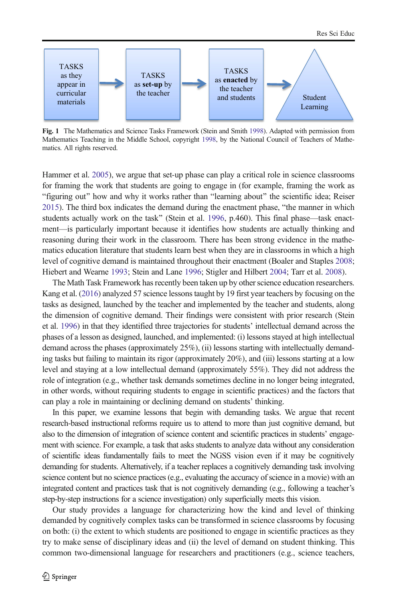<span id="page-5-0"></span>

Fig. 1 The Mathematics and Science Tasks Framework (Stein and Smith [1998\)](#page-23-0). Adapted with permission from Mathematics Teaching in the Middle School, copyright [1998](#page-23-0), by the National Council of Teachers of Mathematics. All rights reserved.

Hammer et al. [2005](#page-22-0)), we argue that set-up phase can play a critical role in science classrooms for framing the work that students are going to engage in (for example, framing the work as "figuring out" how and why it works rather than "learning about" the scientific idea; Reiser  $2015$ ). The third box indicates the demand during the enactment phase, "the manner in which students actually work on the task" (Stein et al. [1996](#page-23-0), p.460). This final phase—task enactment—is particularly important because it identifies how students are actually thinking and reasoning during their work in the classroom. There has been strong evidence in the mathematics education literature that students learn best when they are in classrooms in which a high level of cognitive demand is maintained throughout their enactment (Boaler and Staples [2008](#page-21-0); Hiebert and Wearne [1993](#page-22-0); Stein and Lane [1996;](#page-23-0) Stigler and Hilbert [2004](#page-23-0); Tarr et al. [2008\)](#page-23-0).

The Math Task Framework has recently been taken up by other science education researchers. Kang et al. [\(2016\)](#page-22-0) analyzed 57 science lessons taught by 19 first year teachers by focusing on the tasks as designed, launched by the teacher and implemented by the teacher and students, along the dimension of cognitive demand. Their findings were consistent with prior research (Stein et al. [1996](#page-23-0)) in that they identified three trajectories for students' intellectual demand across the phases of a lesson as designed, launched, and implemented: (i) lessons stayed at high intellectual demand across the phases (approximately 25%), (ii) lessons starting with intellectually demanding tasks but failing to maintain its rigor (approximately 20%), and (iii) lessons starting at a low level and staying at a low intellectual demand (approximately 55%). They did not address the role of integration (e.g., whether task demands sometimes decline in no longer being integrated, in other words, without requiring students to engage in scientific practices) and the factors that can play a role in maintaining or declining demand on students' thinking.

In this paper, we examine lessons that begin with demanding tasks. We argue that recent research-based instructional reforms require us to attend to more than just cognitive demand, but also to the dimension of integration of science content and scientific practices in students' engagement with science. For example, a task that asks students to analyze data without any consideration of scientific ideas fundamentally fails to meet the NGSS vision even if it may be cognitively demanding for students. Alternatively, if a teacher replaces a cognitively demanding task involving science content but no science practices (e.g., evaluating the accuracy of science in a movie) with an integrated content and practices task that is not cognitively demanding (e.g., following a teacher's step-by-step instructions for a science investigation) only superficially meets this vision.

Our study provides a language for characterizing how the kind and level of thinking demanded by cognitively complex tasks can be transformed in science classrooms by focusing on both: (i) the extent to which students are positioned to engage in scientific practices as they try to make sense of disciplinary ideas and (ii) the level of demand on student thinking. This common two-dimensional language for researchers and practitioners (e.g., science teachers,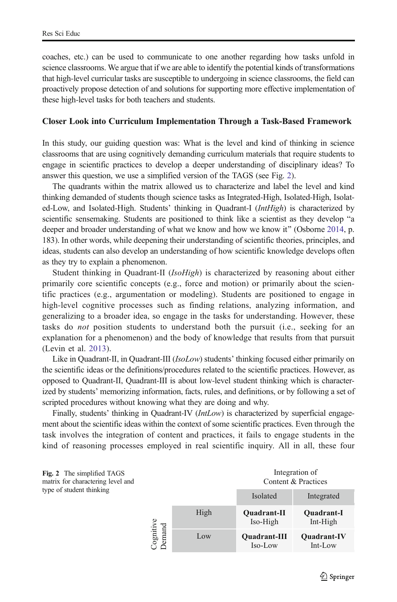<span id="page-6-0"></span>coaches, etc.) can be used to communicate to one another regarding how tasks unfold in science classrooms. We argue that if we are able to identify the potential kinds of transformations that high-level curricular tasks are susceptible to undergoing in science classrooms, the field can proactively propose detection of and solutions for supporting more effective implementation of these high-level tasks for both teachers and students.

### Closer Look into Curriculum Implementation Through a Task-Based Framework

In this study, our guiding question was: What is the level and kind of thinking in science classrooms that are using cognitively demanding curriculum materials that require students to engage in scientific practices to develop a deeper understanding of disciplinary ideas? To answer this question, we use a simplified version of the TAGS (see Fig. 2).

The quadrants within the matrix allowed us to characterize and label the level and kind thinking demanded of students though science tasks as Integrated-High, Isolated-High, Isolated-Low, and Isolated-High. Students' thinking in Quadrant-I (IntHigh) is characterized by scientific sensemaking. Students are positioned to think like a scientist as they develop "a deeper and broader understanding of what we know and how we know it" (Osborne [2014,](#page-23-0) p. 183). In other words, while deepening their understanding of scientific theories, principles, and ideas, students can also develop an understanding of how scientific knowledge develops often as they try to explain a phenomenon.

Student thinking in Quadrant-II (*IsoHigh*) is characterized by reasoning about either primarily core scientific concepts (e.g., force and motion) or primarily about the scientific practices (e.g., argumentation or modeling). Students are positioned to engage in high-level cognitive processes such as finding relations, analyzing information, and generalizing to a broader idea, so engage in the tasks for understanding. However, these tasks do not position students to understand both the pursuit (i.e., seeking for an explanation for a phenomenon) and the body of knowledge that results from that pursuit (Levin et al. [2013\)](#page-22-0).

Like in Quadrant-II, in Quadrant-III (IsoLow) students' thinking focused either primarily on the scientific ideas or the definitions/procedures related to the scientific practices. However, as opposed to Quadrant-II, Quadrant-III is about low-level student thinking which is characterized by students' memorizing information, facts, rules, and definitions, or by following a set of scripted procedures without knowing what they are doing and why.

Finally, students' thinking in Quadrant-IV (*IntLow*) is characterized by superficial engagement about the scientific ideas within the context of some scientific practices. Even through the task involves the integration of content and practices, it fails to engage students in the kind of reasoning processes employed in real scientific inquiry. All in all, these four

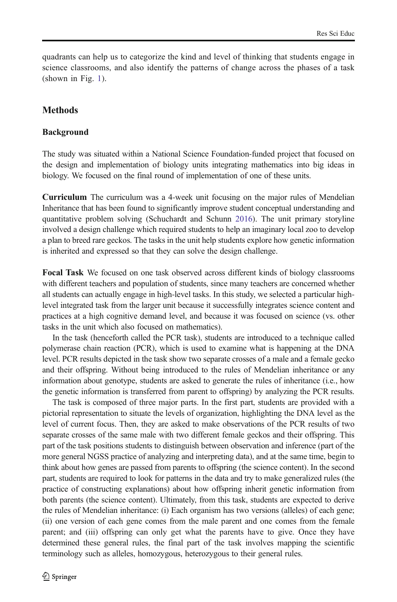quadrants can help us to categorize the kind and level of thinking that students engage in science classrooms, and also identify the patterns of change across the phases of a task (shown in Fig. [1\)](#page-5-0).

# **Methods**

### Background

The study was situated within a National Science Foundation-funded project that focused on the design and implementation of biology units integrating mathematics into big ideas in biology. We focused on the final round of implementation of one of these units.

Curriculum The curriculum was a 4-week unit focusing on the major rules of Mendelian Inheritance that has been found to significantly improve student conceptual understanding and quantitative problem solving (Schuchardt and Schunn [2016\)](#page-23-0). The unit primary storyline involved a design challenge which required students to help an imaginary local zoo to develop a plan to breed rare geckos. The tasks in the unit help students explore how genetic information is inherited and expressed so that they can solve the design challenge.

Focal Task We focused on one task observed across different kinds of biology classrooms with different teachers and population of students, since many teachers are concerned whether all students can actually engage in high-level tasks. In this study, we selected a particular highlevel integrated task from the larger unit because it successfully integrates science content and practices at a high cognitive demand level, and because it was focused on science (vs. other tasks in the unit which also focused on mathematics).

In the task (henceforth called the PCR task), students are introduced to a technique called polymerase chain reaction (PCR), which is used to examine what is happening at the DNA level. PCR results depicted in the task show two separate crosses of a male and a female gecko and their offspring. Without being introduced to the rules of Mendelian inheritance or any information about genotype, students are asked to generate the rules of inheritance (i.e., how the genetic information is transferred from parent to offspring) by analyzing the PCR results.

The task is composed of three major parts. In the first part, students are provided with a pictorial representation to situate the levels of organization, highlighting the DNA level as the level of current focus. Then, they are asked to make observations of the PCR results of two separate crosses of the same male with two different female geckos and their offspring. This part of the task positions students to distinguish between observation and inference (part of the more general NGSS practice of analyzing and interpreting data), and at the same time, begin to think about how genes are passed from parents to offspring (the science content). In the second part, students are required to look for patterns in the data and try to make generalized rules (the practice of constructing explanations) about how offspring inherit genetic information from both parents (the science content). Ultimately, from this task, students are expected to derive the rules of Mendelian inheritance: (i) Each organism has two versions (alleles) of each gene; (ii) one version of each gene comes from the male parent and one comes from the female parent; and (iii) offspring can only get what the parents have to give. Once they have determined these general rules, the final part of the task involves mapping the scientific terminology such as alleles, homozygous, heterozygous to their general rules.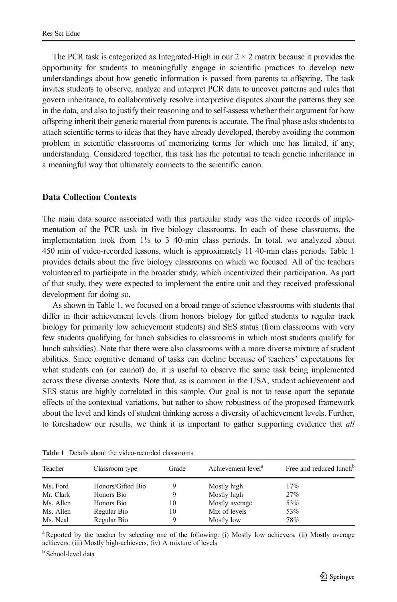The PCR task is categorized as Integrated-High in our  $2 \times 2$  matrix because it provides the opportunity for students to meaningfully engage in scientific practices to develop new understandings about how genetic information is passed from parents to offspring. The task invites students to observe, analyze and interpret PCR data to uncover patterns and rules that govern inheritance, to collaboratively resolve interpretive disputes about the patterns they see in the data, and also to justify their reasoning and to self-assess whether their argument for how offspring inherit their genetic material from parents is accurate. The final phase asks students to attach scientific terms to ideas that they have already developed, thereby avoiding the common problem in scientific classrooms of memorizing terms for which one has limited, if any, understanding. Considered together, this task has the potential to teach genetic inheritance in a meaningful way that ultimately connects to the scientific canon.

### Data Collection Contexts

The main data source associated with this particular study was the video records of implementation of the PCR task in five biology classrooms. In each of these classrooms, the implementation took from  $1\frac{1}{2}$  to 3 40-min class periods. In total, we analyzed about 450 min of video-recorded lessons, which is approximately 11 40-min class periods. Table 1 provides details about the five biology classrooms on which we focused. All of the teachers volunteered to participate in the broader study, which incentivized their participation. As part of that study, they were expected to implement the entire unit and they received professional development for doing so.

As shown in Table 1, we focused on a broad range of science classrooms with students that differ in their achievement levels (from honors biology for gifted students to regular track biology for primarily low achievement students) and SES status (from classrooms with very few students qualifying for lunch subsidies to classrooms in which most students qualify for lunch subsidies). Note that there were also classrooms with a more diverse mixture of student abilities. Since cognitive demand of tasks can decline because of teachers' expectations for what students can (or cannot) do, it is useful to observe the same task being implemented across these diverse contexts. Note that, as is common in the USA, student achievement and SES status are highly correlated in this sample. Our goal is not to tease apart the separate effects of the contextual variations, but rather to show robustness of the proposed framework about the level and kinds of student thinking across a diversity of achievement levels. Further, to foreshadow our results, we think it is important to gather supporting evidence that all

| Teacher   | Classroom type    | Grade | Achievement level <sup>a</sup> | Free and reduced lunch <sup>b</sup> |
|-----------|-------------------|-------|--------------------------------|-------------------------------------|
| Ms. Ford  | Honors/Gifted Bio |       | Mostly high                    | 17%                                 |
| Mr. Clark | Honors Bio        |       | Mostly high                    | 27%                                 |
| Ms. Allen | Honors Bio        | 10    | Mostly average                 | 53%                                 |
| Ms. Allen | Regular Bio       | 10    | Mix of levels                  | 53%                                 |
| Ms. Neal  | Regular Bio       |       | Mostly low                     | 78%                                 |

Table 1 Details about the video-recorded classrooms

<sup>a</sup> Reported by the teacher by selecting one of the following: (i) Mostly low achievers, (ii) Mostly average achievers, (iii) Mostly high-achievers, (iv) A mixture of levels

**b** School-level data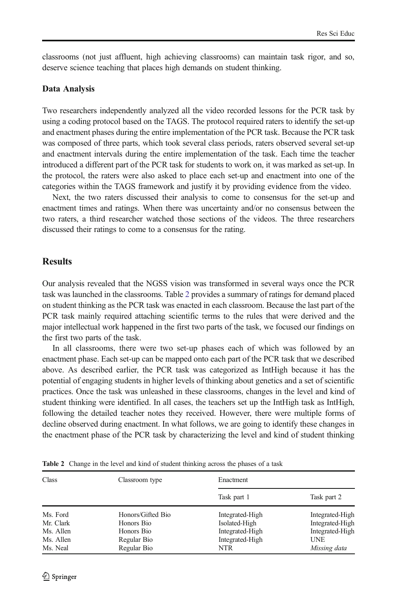<span id="page-9-0"></span>classrooms (not just affluent, high achieving classrooms) can maintain task rigor, and so, deserve science teaching that places high demands on student thinking.

### Data Analysis

Two researchers independently analyzed all the video recorded lessons for the PCR task by using a coding protocol based on the TAGS. The protocol required raters to identify the set-up and enactment phases during the entire implementation of the PCR task. Because the PCR task was composed of three parts, which took several class periods, raters observed several set-up and enactment intervals during the entire implementation of the task. Each time the teacher introduced a different part of the PCR task for students to work on, it was marked as set-up. In the protocol, the raters were also asked to place each set-up and enactment into one of the categories within the TAGS framework and justify it by providing evidence from the video.

Next, the two raters discussed their analysis to come to consensus for the set-up and enactment times and ratings. When there was uncertainty and/or no consensus between the two raters, a third researcher watched those sections of the videos. The three researchers discussed their ratings to come to a consensus for the rating.

# **Results**

Our analysis revealed that the NGSS vision was transformed in several ways once the PCR task was launched in the classrooms. Table 2 provides a summary of ratings for demand placed on student thinking as the PCR task was enacted in each classroom. Because the last part of the PCR task mainly required attaching scientific terms to the rules that were derived and the major intellectual work happened in the first two parts of the task, we focused our findings on the first two parts of the task.

In all classrooms, there were two set-up phases each of which was followed by an enactment phase. Each set-up can be mapped onto each part of the PCR task that we described above. As described earlier, the PCR task was categorized as IntHigh because it has the potential of engaging students in higher levels of thinking about genetics and a set of scientific practices. Once the task was unleashed in these classrooms, changes in the level and kind of student thinking were identified. In all cases, the teachers set up the IntHigh task as IntHigh, following the detailed teacher notes they received. However, there were multiple forms of decline observed during enactment. In what follows, we are going to identify these changes in the enactment phase of the PCR task by characterizing the level and kind of student thinking

| Class     | Classroom type    | Enactment       |                 |
|-----------|-------------------|-----------------|-----------------|
|           |                   | Task part 1     | Task part 2     |
| Ms. Ford  | Honors/Gifted Bio | Integrated-High | Integrated-High |
| Mr. Clark | Honors Bio        | Isolated-High   | Integrated-High |
| Ms. Allen | Honors Bio        | Integrated-High | Integrated-High |
| Ms. Allen | Regular Bio       | Integrated-High | <b>UNE</b>      |
| Ms. Neal  | Regular Bio       | NTR             | Missing data    |

Table 2 Change in the level and kind of student thinking across the phases of a task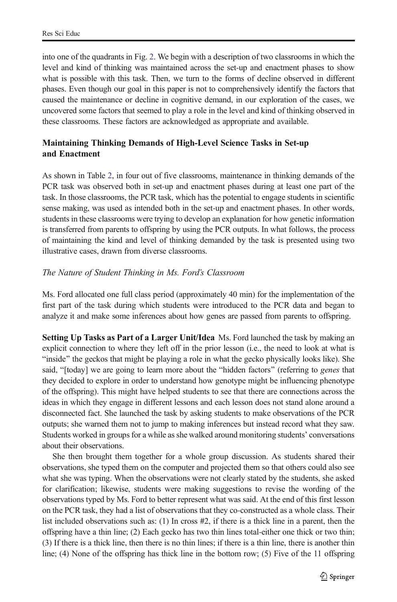into one of the quadrants in Fig. [2](#page-6-0). We begin with a description of two classrooms in which the level and kind of thinking was maintained across the set-up and enactment phases to show what is possible with this task. Then, we turn to the forms of decline observed in different phases. Even though our goal in this paper is not to comprehensively identify the factors that caused the maintenance or decline in cognitive demand, in our exploration of the cases, we uncovered some factors that seemed to play a role in the level and kind of thinking observed in these classrooms. These factors are acknowledged as appropriate and available.

# Maintaining Thinking Demands of High-Level Science Tasks in Set-up and Enactment

As shown in Table [2,](#page-9-0) in four out of five classrooms, maintenance in thinking demands of the PCR task was observed both in set-up and enactment phases during at least one part of the task. In those classrooms, the PCR task, which has the potential to engage students in scientific sense making, was used as intended both in the set-up and enactment phases. In other words, students in these classrooms were trying to develop an explanation for how genetic information is transferred from parents to offspring by using the PCR outputs. In what follows, the process of maintaining the kind and level of thinking demanded by the task is presented using two illustrative cases, drawn from diverse classrooms.

# The Nature of Student Thinking in Ms. Ford's Classroom

Ms. Ford allocated one full class period (approximately 40 min) for the implementation of the first part of the task during which students were introduced to the PCR data and began to analyze it and make some inferences about how genes are passed from parents to offspring.

Setting Up Tasks as Part of a Larger Unit/Idea Ms. Ford launched the task by making an explicit connection to where they left off in the prior lesson (i.e., the need to look at what is "inside" the geckos that might be playing a role in what the gecko physically looks like). She said, "[today] we are going to learn more about the "hidden factors" (referring to genes that they decided to explore in order to understand how genotype might be influencing phenotype of the offspring). This might have helped students to see that there are connections across the ideas in which they engage in different lessons and each lesson does not stand alone around a disconnected fact. She launched the task by asking students to make observations of the PCR outputs; she warned them not to jump to making inferences but instead record what they saw. Students worked in groups for a while as she walked around monitoring students' conversations about their observations.

She then brought them together for a whole group discussion. As students shared their observations, she typed them on the computer and projected them so that others could also see what she was typing. When the observations were not clearly stated by the students, she asked for clarification; likewise, students were making suggestions to revise the wording of the observations typed by Ms. Ford to better represent what was said. At the end of this first lesson on the PCR task, they had a list of observations that they co-constructed as a whole class. Their list included observations such as: (1) In cross #2, if there is a thick line in a parent, then the offspring have a thin line; (2) Each gecko has two thin lines total-either one thick or two thin; (3) If there is a thick line, then there is no thin lines; if there is a thin line, there is another thin line; (4) None of the offspring has thick line in the bottom row; (5) Five of the 11 offspring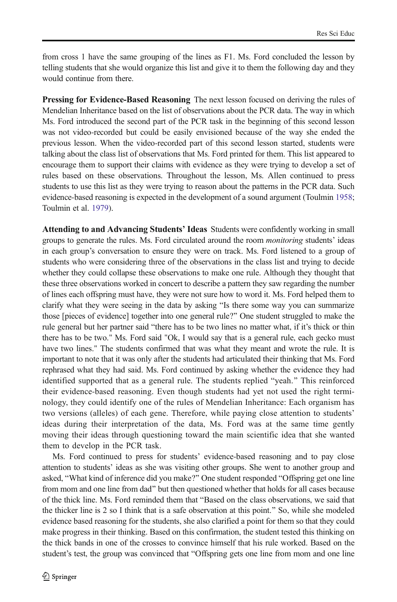from cross 1 have the same grouping of the lines as F1. Ms. Ford concluded the lesson by telling students that she would organize this list and give it to them the following day and they would continue from there.

Pressing for Evidence-Based Reasoning The next lesson focused on deriving the rules of Mendelian Inheritance based on the list of observations about the PCR data. The way in which Ms. Ford introduced the second part of the PCR task in the beginning of this second lesson was not video-recorded but could be easily envisioned because of the way she ended the previous lesson. When the video-recorded part of this second lesson started, students were talking about the class list of observations that Ms. Ford printed for them. This list appeared to encourage them to support their claims with evidence as they were trying to develop a set of rules based on these observations. Throughout the lesson, Ms. Allen continued to press students to use this list as they were trying to reason about the patterns in the PCR data. Such evidence-based reasoning is expected in the development of a sound argument (Toulmin [1958](#page-24-0); Toulmin et al. [1979](#page-24-0)).

Attending to and Advancing Students' Ideas Students were confidently working in small groups to generate the rules. Ms. Ford circulated around the room monitoring students' ideas in each group's conversation to ensure they were on track. Ms. Ford listened to a group of students who were considering three of the observations in the class list and trying to decide whether they could collapse these observations to make one rule. Although they thought that these three observations worked in concert to describe a pattern they saw regarding the number of lines each offspring must have, they were not sure how to word it. Ms. Ford helped them to clarify what they were seeing in the data by asking "Is there some way you can summarize those [pieces of evidence] together into one general rule?^ One student struggled to make the rule general but her partner said "there has to be two lines no matter what, if it's thick or thin there has to be two." Ms. Ford said "Ok, I would say that is a general rule, each gecko must have two lines." The students confirmed that was what they meant and wrote the rule. It is important to note that it was only after the students had articulated their thinking that Ms. Ford rephrased what they had said. Ms. Ford continued by asking whether the evidence they had identified supported that as a general rule. The students replied "yeah." This reinforced their evidence-based reasoning. Even though students had yet not used the right terminology, they could identify one of the rules of Mendelian Inheritance: Each organism has two versions (alleles) of each gene. Therefore, while paying close attention to students' ideas during their interpretation of the data, Ms. Ford was at the same time gently moving their ideas through questioning toward the main scientific idea that she wanted them to develop in the PCR task.

Ms. Ford continued to press for students' evidence-based reasoning and to pay close attention to students' ideas as she was visiting other groups. She went to another group and asked, "What kind of inference did you make?" One student responded "Offspring get one line from mom and one line from dad^ but then questioned whether that holds for all cases because of the thick line. Ms. Ford reminded them that "Based on the class observations, we said that the thicker line is 2 so I think that is a safe observation at this point.^ So, while she modeled evidence based reasoning for the students, she also clarified a point for them so that they could make progress in their thinking. Based on this confirmation, the student tested this thinking on the thick bands in one of the crosses to convince himself that his rule worked. Based on the student's test, the group was convinced that "Offspring gets one line from mom and one line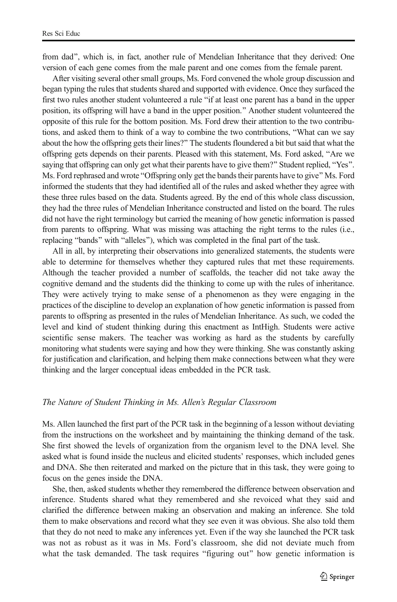from dad", which is, in fact, another rule of Mendelian Inheritance that they derived: One version of each gene comes from the male parent and one comes from the female parent.

After visiting several other small groups, Ms. Ford convened the whole group discussion and began typing the rules that students shared and supported with evidence. Once they surfaced the first two rules another student volunteered a rule "if at least one parent has a band in the upper position, its offspring will have a band in the upper position.^ Another student volunteered the opposite of this rule for the bottom position. Ms. Ford drew their attention to the two contributions, and asked them to think of a way to combine the two contributions, "What can we say about the how the offspring gets their lines?" The students floundered a bit but said that what the offspring gets depends on their parents. Pleased with this statement, Ms. Ford asked, "Are we saying that offspring can only get what their parents have to give them?" Student replied, "Yes". Ms. Ford rephrased and wrote "Offspring only get the bands their parents have to give" Ms. Ford informed the students that they had identified all of the rules and asked whether they agree with these three rules based on the data. Students agreed. By the end of this whole class discussion, they had the three rules of Mendelian Inheritance constructed and listed on the board. The rules did not have the right terminology but carried the meaning of how genetic information is passed from parents to offspring. What was missing was attaching the right terms to the rules (i.e., replacing "bands" with "alleles"), which was completed in the final part of the task.

All in all, by interpreting their observations into generalized statements, the students were able to determine for themselves whether they captured rules that met these requirements. Although the teacher provided a number of scaffolds, the teacher did not take away the cognitive demand and the students did the thinking to come up with the rules of inheritance. They were actively trying to make sense of a phenomenon as they were engaging in the practices of the discipline to develop an explanation of how genetic information is passed from parents to offspring as presented in the rules of Mendelian Inheritance. As such, we coded the level and kind of student thinking during this enactment as IntHigh. Students were active scientific sense makers. The teacher was working as hard as the students by carefully monitoring what students were saying and how they were thinking. She was constantly asking for justification and clarification, and helping them make connections between what they were thinking and the larger conceptual ideas embedded in the PCR task.

### The Nature of Student Thinking in Ms. Allen's Regular Classroom

Ms. Allen launched the first part of the PCR task in the beginning of a lesson without deviating from the instructions on the worksheet and by maintaining the thinking demand of the task. She first showed the levels of organization from the organism level to the DNA level. She asked what is found inside the nucleus and elicited students' responses, which included genes and DNA. She then reiterated and marked on the picture that in this task, they were going to focus on the genes inside the DNA.

She, then, asked students whether they remembered the difference between observation and inference. Students shared what they remembered and she revoiced what they said and clarified the difference between making an observation and making an inference. She told them to make observations and record what they see even it was obvious. She also told them that they do not need to make any inferences yet. Even if the way she launched the PCR task was not as robust as it was in Ms. Ford's classroom, she did not deviate much from what the task demanded. The task requires "figuring out" how genetic information is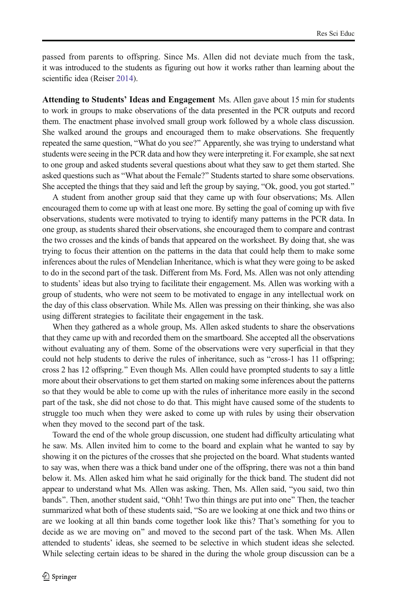passed from parents to offspring. Since Ms. Allen did not deviate much from the task, it was introduced to the students as figuring out how it works rather than learning about the scientific idea (Reiser [2014](#page-23-0)).

Attending to Students' Ideas and Engagement Ms. Allen gave about 15 min for students to work in groups to make observations of the data presented in the PCR outputs and record them. The enactment phase involved small group work followed by a whole class discussion. She walked around the groups and encouraged them to make observations. She frequently repeated the same question, "What do you see?" Apparently, she was trying to understand what students were seeing in the PCR data and how they were interpreting it. For example, she sat next to one group and asked students several questions about what they saw to get them started. She asked questions such as "What about the Female?" Students started to share some observations. She accepted the things that they said and left the group by saying, "Ok, good, you got started."

A student from another group said that they came up with four observations; Ms. Allen encouraged them to come up with at least one more. By setting the goal of coming up with five observations, students were motivated to trying to identify many patterns in the PCR data. In one group, as students shared their observations, she encouraged them to compare and contrast the two crosses and the kinds of bands that appeared on the worksheet. By doing that, she was trying to focus their attention on the patterns in the data that could help them to make some inferences about the rules of Mendelian Inheritance, which is what they were going to be asked to do in the second part of the task. Different from Ms. Ford, Ms. Allen was not only attending to students' ideas but also trying to facilitate their engagement. Ms. Allen was working with a group of students, who were not seem to be motivated to engage in any intellectual work on the day of this class observation. While Ms. Allen was pressing on their thinking, she was also using different strategies to facilitate their engagement in the task.

When they gathered as a whole group, Ms. Allen asked students to share the observations that they came up with and recorded them on the smartboard. She accepted all the observations without evaluating any of them. Some of the observations were very superficial in that they could not help students to derive the rules of inheritance, such as "cross-1 has 11 offspring; cross 2 has 12 offspring.^ Even though Ms. Allen could have prompted students to say a little more about their observations to get them started on making some inferences about the patterns so that they would be able to come up with the rules of inheritance more easily in the second part of the task, she did not chose to do that. This might have caused some of the students to struggle too much when they were asked to come up with rules by using their observation when they moved to the second part of the task.

Toward the end of the whole group discussion, one student had difficulty articulating what he saw. Ms. Allen invited him to come to the board and explain what he wanted to say by showing it on the pictures of the crosses that she projected on the board. What students wanted to say was, when there was a thick band under one of the offspring, there was not a thin band below it. Ms. Allen asked him what he said originally for the thick band. The student did not appear to understand what Ms. Allen was asking. Then, Ms. Allen said, "you said, two thin bands". Then, another student said, "Ohh! Two thin things are put into one" Then, the teacher summarized what both of these students said, "So are we looking at one thick and two thins or are we looking at all thin bands come together look like this? That's something for you to decide as we are moving on" and moved to the second part of the task. When Ms. Allen attended to students' ideas, she seemed to be selective in which student ideas she selected. While selecting certain ideas to be shared in the during the whole group discussion can be a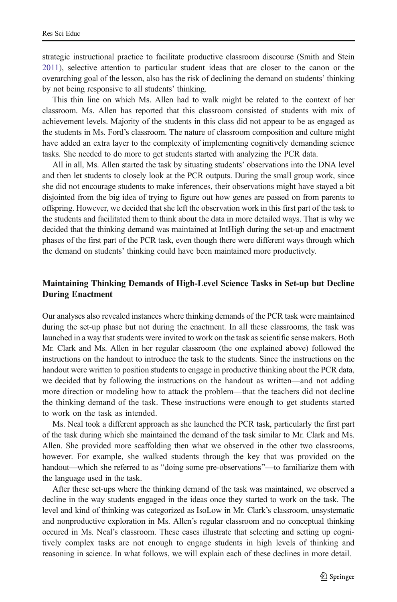strategic instructional practice to facilitate productive classroom discourse (Smith and Stein [2011](#page-23-0)), selective attention to particular student ideas that are closer to the canon or the overarching goal of the lesson, also has the risk of declining the demand on students' thinking by not being responsive to all students' thinking.

This thin line on which Ms. Allen had to walk might be related to the context of her classroom. Ms. Allen has reported that this classroom consisted of students with mix of achievement levels. Majority of the students in this class did not appear to be as engaged as the students in Ms. Ford's classroom. The nature of classroom composition and culture might have added an extra layer to the complexity of implementing cognitively demanding science tasks. She needed to do more to get students started with analyzing the PCR data.

All in all, Ms. Allen started the task by situating students' observations into the DNA level and then let students to closely look at the PCR outputs. During the small group work, since she did not encourage students to make inferences, their observations might have stayed a bit disjointed from the big idea of trying to figure out how genes are passed on from parents to offspring. However, we decided that she left the observation work in this first part of the task to the students and facilitated them to think about the data in more detailed ways. That is why we decided that the thinking demand was maintained at IntHigh during the set-up and enactment phases of the first part of the PCR task, even though there were different ways through which the demand on students' thinking could have been maintained more productively.

# Maintaining Thinking Demands of High-Level Science Tasks in Set-up but Decline During Enactment

Our analyses also revealed instances where thinking demands of the PCR task were maintained during the set-up phase but not during the enactment. In all these classrooms, the task was launched in a way that students were invited to work on the task as scientific sense makers. Both Mr. Clark and Ms. Allen in her regular classroom (the one explained above) followed the instructions on the handout to introduce the task to the students. Since the instructions on the handout were written to position students to engage in productive thinking about the PCR data, we decided that by following the instructions on the handout as written—and not adding more direction or modeling how to attack the problem—that the teachers did not decline the thinking demand of the task. These instructions were enough to get students started to work on the task as intended.

Ms. Neal took a different approach as she launched the PCR task, particularly the first part of the task during which she maintained the demand of the task similar to Mr. Clark and Ms. Allen. She provided more scaffolding then what we observed in the other two classrooms, however. For example, she walked students through the key that was provided on the handout—which she referred to as "doing some pre-observations"—to familiarize them with the language used in the task.

After these set-ups where the thinking demand of the task was maintained, we observed a decline in the way students engaged in the ideas once they started to work on the task. The level and kind of thinking was categorized as IsoLow in Mr. Clark's classroom, unsystematic and nonproductive exploration in Ms. Allen's regular classroom and no conceptual thinking occured in Ms. Neal's classroom. These cases illustrate that selecting and setting up cognitively complex tasks are not enough to engage students in high levels of thinking and reasoning in science. In what follows, we will explain each of these declines in more detail.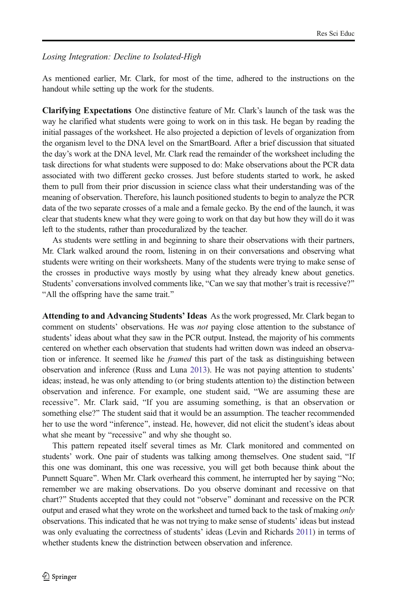## Losing Integration: Decline to Isolated-High

As mentioned earlier, Mr. Clark, for most of the time, adhered to the instructions on the handout while setting up the work for the students.

Clarifying Expectations One distinctive feature of Mr. Clark's launch of the task was the way he clarified what students were going to work on in this task. He began by reading the initial passages of the worksheet. He also projected a depiction of levels of organization from the organism level to the DNA level on the SmartBoard. After a brief discussion that situated the day's work at the DNA level, Mr. Clark read the remainder of the worksheet including the task directions for what students were supposed to do: Make observations about the PCR data associated with two different gecko crosses. Just before students started to work, he asked them to pull from their prior discussion in science class what their understanding was of the meaning of observation. Therefore, his launch positioned students to begin to analyze the PCR data of the two separate crosses of a male and a female gecko. By the end of the launch, it was clear that students knew what they were going to work on that day but how they will do it was left to the students, rather than proceduralized by the teacher.

As students were settling in and beginning to share their observations with their partners, Mr. Clark walked around the room, listening in on their conversations and observing what students were writing on their worksheets. Many of the students were trying to make sense of the crosses in productive ways mostly by using what they already knew about genetics. Students' conversations involved comments like, "Can we say that mother's trait is recessive?" "All the offspring have the same trait."

Attending to and Advancing Students' Ideas As the work progressed, Mr. Clark began to comment on students' observations. He was *not* paying close attention to the substance of students' ideas about what they saw in the PCR output. Instead, the majority of his comments centered on whether each observation that students had written down was indeed an observation or inference. It seemed like he *framed* this part of the task as distinguishing between observation and inference (Russ and Luna [2013](#page-23-0)). He was not paying attention to students' ideas; instead, he was only attending to (or bring students attention to) the distinction between observation and inference. For example, one student said, "We are assuming these are recessive". Mr. Clark said, "If you are assuming something, is that an observation or something else?" The student said that it would be an assumption. The teacher recommended her to use the word "inference", instead. He, however, did not elicit the student's ideas about what she meant by "recessive" and why she thought so.

This pattern repeated itself several times as Mr. Clark monitored and commented on students' work. One pair of students was talking among themselves. One student said, "If this one was dominant, this one was recessive, you will get both because think about the Punnett Square". When Mr. Clark overheard this comment, he interrupted her by saying "No; remember we are making observations. Do you observe dominant and recessive on that chart?" Students accepted that they could not "observe" dominant and recessive on the PCR output and erased what they wrote on the worksheet and turned back to the task of making only observations. This indicated that he was not trying to make sense of students' ideas but instead was only evaluating the correctness of students' ideas (Levin and Richards [2011](#page-22-0)) in terms of whether students knew the distrinction between observation and inference.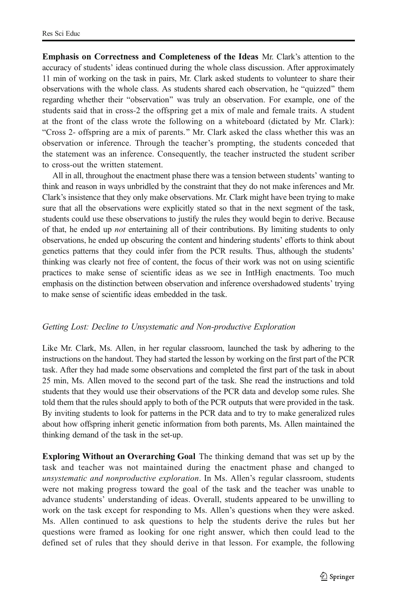Emphasis on Correctness and Completeness of the Ideas Mr. Clark's attention to the accuracy of students' ideas continued during the whole class discussion. After approximately 11 min of working on the task in pairs, Mr. Clark asked students to volunteer to share their observations with the whole class. As students shared each observation, he "quizzed" them regarding whether their "observation" was truly an observation. For example, one of the students said that in cross-2 the offspring get a mix of male and female traits. A student at the front of the class wrote the following on a whiteboard (dictated by Mr. Clark): "Cross 2- offspring are a mix of parents." Mr. Clark asked the class whether this was an observation or inference. Through the teacher's prompting, the students conceded that the statement was an inference. Consequently, the teacher instructed the student scriber to cross-out the written statement.

All in all, throughout the enactment phase there was a tension between students' wanting to think and reason in ways unbridled by the constraint that they do not make inferences and Mr. Clark's insistence that they only make observations. Mr. Clark might have been trying to make sure that all the observations were explicitly stated so that in the next segment of the task, students could use these observations to justify the rules they would begin to derive. Because of that, he ended up not entertaining all of their contributions. By limiting students to only observations, he ended up obscuring the content and hindering students' efforts to think about genetics patterns that they could infer from the PCR results. Thus, although the students' thinking was clearly not free of content, the focus of their work was not on using scientific practices to make sense of scientific ideas as we see in IntHigh enactments. Too much emphasis on the distinction between observation and inference overshadowed students' trying to make sense of scientific ideas embedded in the task.

### Getting Lost: Decline to Unsystematic and Non-productive Exploration

Like Mr. Clark, Ms. Allen, in her regular classroom, launched the task by adhering to the instructions on the handout. They had started the lesson by working on the first part of the PCR task. After they had made some observations and completed the first part of the task in about 25 min, Ms. Allen moved to the second part of the task. She read the instructions and told students that they would use their observations of the PCR data and develop some rules. She told them that the rules should apply to both of the PCR outputs that were provided in the task. By inviting students to look for patterns in the PCR data and to try to make generalized rules about how offspring inherit genetic information from both parents, Ms. Allen maintained the thinking demand of the task in the set-up.

Exploring Without an Overarching Goal The thinking demand that was set up by the task and teacher was not maintained during the enactment phase and changed to unsystematic and nonproductive exploration. In Ms. Allen's regular classroom, students were not making progress toward the goal of the task and the teacher was unable to advance students' understanding of ideas. Overall, students appeared to be unwilling to work on the task except for responding to Ms. Allen's questions when they were asked. Ms. Allen continued to ask questions to help the students derive the rules but her questions were framed as looking for one right answer, which then could lead to the defined set of rules that they should derive in that lesson. For example, the following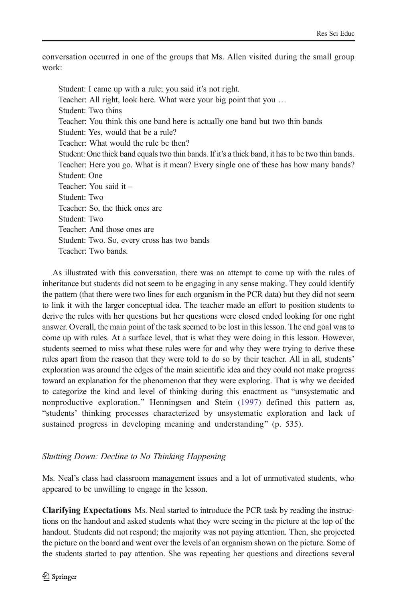conversation occurred in one of the groups that Ms. Allen visited during the small group work:

Student: I came up with a rule; you said it's not right. Teacher: All right, look here. What were your big point that you … Student: Two thins Teacher: You think this one band here is actually one band but two thin bands Student: Yes, would that be a rule? Teacher: What would the rule be then? Student: One thick band equals two thin bands. If it's a thick band, it has to be two thin bands. Teacher: Here you go. What is it mean? Every single one of these has how many bands? Student: One Teacher: You said it – Student: Two Teacher: So, the thick ones are Student: Two Teacher: And those ones are Student: Two. So, every cross has two bands Teacher: Two bands.

As illustrated with this conversation, there was an attempt to come up with the rules of inheritance but students did not seem to be engaging in any sense making. They could identify the pattern (that there were two lines for each organism in the PCR data) but they did not seem to link it with the larger conceptual idea. The teacher made an effort to position students to derive the rules with her questions but her questions were closed ended looking for one right answer. Overall, the main point of the task seemed to be lost in this lesson. The end goal was to come up with rules. At a surface level, that is what they were doing in this lesson. However, students seemed to miss what these rules were for and why they were trying to derive these rules apart from the reason that they were told to do so by their teacher. All in all, students' exploration was around the edges of the main scientific idea and they could not make progress toward an explanation for the phenomenon that they were exploring. That is why we decided to categorize the kind and level of thinking during this enactment as "unsystematic and nonproductive exploration." Henningsen and Stein ([1997](#page-22-0)) defined this pattern as, Bstudents' thinking processes characterized by unsystematic exploration and lack of sustained progress in developing meaning and understanding" (p. 535).

### Shutting Down: Decline to No Thinking Happening

Ms. Neal's class had classroom management issues and a lot of unmotivated students, who appeared to be unwilling to engage in the lesson.

Clarifying Expectations Ms. Neal started to introduce the PCR task by reading the instructions on the handout and asked students what they were seeing in the picture at the top of the handout. Students did not respond; the majority was not paying attention. Then, she projected the picture on the board and went over the levels of an organism shown on the picture. Some of the students started to pay attention. She was repeating her questions and directions several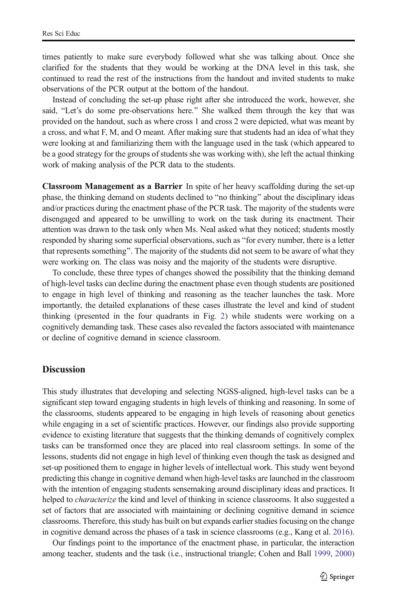times patiently to make sure everybody followed what she was talking about. Once she clarified for the students that they would be working at the DNA level in this task, she continued to read the rest of the instructions from the handout and invited students to make observations of the PCR output at the bottom of the handout.

Instead of concluding the set-up phase right after she introduced the work, however, she said, "Let's do some pre-observations here." She walked them through the key that was provided on the handout, such as where cross 1 and cross 2 were depicted, what was meant by a cross, and what F, M, and O meant. After making sure that students had an idea of what they were looking at and familiarizing them with the language used in the task (which appeared to be a good strategy for the groups of students she was working with), she left the actual thinking work of making analysis of the PCR data to the students.

Classroom Management as a Barrier In spite of her heavy scaffolding during the set-up phase, the thinking demand on students declined to "no thinking" about the disciplinary ideas and/or practices during the enactment phase of the PCR task. The majority of the students were disengaged and appeared to be unwilling to work on the task during its enactment. Their attention was drawn to the task only when Ms. Neal asked what they noticed; students mostly responded by sharing some superficial observations, such as "for every number, there is a letter that represents something". The majority of the students did not seem to be aware of what they were working on. The class was noisy and the majority of the students were disruptive.

To conclude, these three types of changes showed the possibility that the thinking demand of high-level tasks can decline during the enactment phase even though students are positioned to engage in high level of thinking and reasoning as the teacher launches the task. More importantly, the detailed explanations of these cases illustrate the level and kind of student thinking (presented in the four quadrants in Fig. [2](#page-6-0)) while students were working on a cognitively demanding task. These cases also revealed the factors associated with maintenance or decline of cognitive demand in science classroom.

# **Discussion**

This study illustrates that developing and selecting NGSS-aligned, high-level tasks can be a significant step toward engaging students in high levels of thinking and reasoning. In some of the classrooms, students appeared to be engaging in high levels of reasoning about genetics while engaging in a set of scientific practices. However, our findings also provide supporting evidence to existing literature that suggests that the thinking demands of cognitively complex tasks can be transformed once they are placed into real classroom settings. In some of the lessons, students did not engage in high level of thinking even though the task as designed and set-up positioned them to engage in higher levels of intellectual work. This study went beyond predicting this change in cognitive demand when high-level tasks are launched in the classroom with the intention of engaging students sensemaking around disciplinary ideas and practices. It helped to *characterize* the kind and level of thinking in science classrooms. It also suggested a set of factors that are associated with maintaining or declining cognitive demand in science classrooms. Therefore, this study has built on but expands earlier studies focusing on the change in cognitive demand across the phases of a task in science classrooms (e.g., Kang et al. [2016](#page-22-0)).

Our findings point to the importance of the enactment phase, in particular, the interaction among teacher, students and the task (i.e., instructional triangle; Cohen and Ball [1999,](#page-22-0) [2000\)](#page-22-0)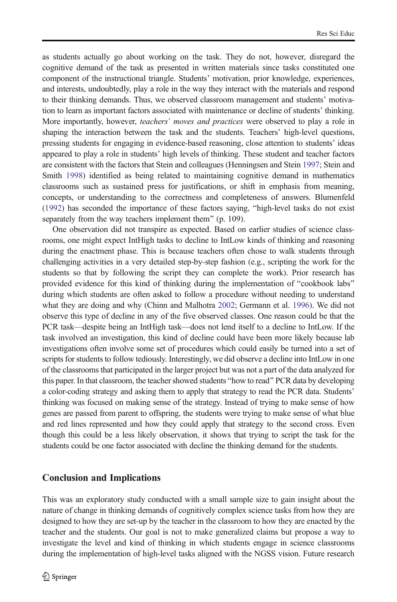as students actually go about working on the task. They do not, however, disregard the cognitive demand of the task as presented in written materials since tasks constituted one component of the instructional triangle. Students' motivation, prior knowledge, experiences, and interests, undoubtedly, play a role in the way they interact with the materials and respond to their thinking demands. Thus, we observed classroom management and students' motivation to learn as important factors associated with maintenance or decline of students' thinking. More importantly, however, *teachers' moves and practices* were observed to play a role in shaping the interaction between the task and the students. Teachers' high-level questions, pressing students for engaging in evidence-based reasoning, close attention to students' ideas appeared to play a role in students' high levels of thinking. These student and teacher factors are consistent with the factors that Stein and colleagues (Henningsen and Stein [1997;](#page-22-0) Stein and Smith [1998\)](#page-23-0) identified as being related to maintaining cognitive demand in mathematics classrooms such as sustained press for justifications, or shift in emphasis from meaning, concepts, or understanding to the correctness and completeness of answers. Blumenfeld ([1992](#page-21-0)) has seconded the importance of these factors saying, "high-level tasks do not exist separately from the way teachers implement them" (p. 109).

One observation did not transpire as expected. Based on earlier studies of science classrooms, one might expect IntHigh tasks to decline to IntLow kinds of thinking and reasoning during the enactment phase. This is because teachers often chose to walk students through challenging activities in a very detailed step-by-step fashion (e.g., scripting the work for the students so that by following the script they can complete the work). Prior research has provided evidence for this kind of thinking during the implementation of "cookbook labs" during which students are often asked to follow a procedure without needing to understand what they are doing and why (Chinn and Malhotra [2002;](#page-22-0) Germann et al. [1996\)](#page-22-0). We did not observe this type of decline in any of the five observed classes. One reason could be that the PCR task—despite being an IntHigh task—does not lend itself to a decline to IntLow. If the task involved an investigation, this kind of decline could have been more likely because lab investigations often involve some set of procedures which could easily be turned into a set of scripts for students to follow tediously. Interestingly, we did observe a decline into IntLow in one of the classrooms that participated in the larger project but was not a part of the data analyzed for this paper. In that classroom, the teacher showed students "how to read" PCR data by developing a color-coding strategy and asking them to apply that strategy to read the PCR data. Students' thinking was focused on making sense of the strategy. Instead of trying to make sense of how genes are passed from parent to offspring, the students were trying to make sense of what blue and red lines represented and how they could apply that strategy to the second cross. Even though this could be a less likely observation, it shows that trying to script the task for the students could be one factor associated with decline the thinking demand for the students.

## Conclusion and Implications

This was an exploratory study conducted with a small sample size to gain insight about the nature of change in thinking demands of cognitively complex science tasks from how they are designed to how they are set-up by the teacher in the classroom to how they are enacted by the teacher and the students. Our goal is not to make generalized claims but propose a way to investigate the level and kind of thinking in which students engage in science classrooms during the implementation of high-level tasks aligned with the NGSS vision. Future research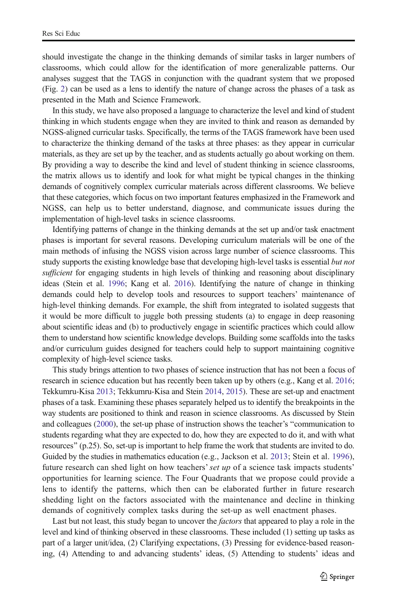should investigate the change in the thinking demands of similar tasks in larger numbers of classrooms, which could allow for the identification of more generalizable patterns. Our analyses suggest that the TAGS in conjunction with the quadrant system that we proposed (Fig. [2\)](#page-6-0) can be used as a lens to identify the nature of change across the phases of a task as presented in the Math and Science Framework.

In this study, we have also proposed a language to characterize the level and kind of student thinking in which students engage when they are invited to think and reason as demanded by NGSS-aligned curricular tasks. Specifically, the terms of the TAGS framework have been used to characterize the thinking demand of the tasks at three phases: as they appear in curricular materials, as they are set up by the teacher, and as students actually go about working on them. By providing a way to describe the kind and level of student thinking in science classrooms, the matrix allows us to identify and look for what might be typical changes in the thinking demands of cognitively complex curricular materials across different classrooms. We believe that these categories, which focus on two important features emphasized in the Framework and NGSS, can help us to better understand, diagnose, and communicate issues during the implementation of high-level tasks in science classrooms.

Identifying patterns of change in the thinking demands at the set up and/or task enactment phases is important for several reasons. Developing curriculum materials will be one of the main methods of infusing the NGSS vision across large number of science classrooms. This study supports the existing knowledge base that developing high-level tasks is essential but not sufficient for engaging students in high levels of thinking and reasoning about disciplinary ideas (Stein et al. [1996](#page-23-0); Kang et al. [2016\)](#page-22-0). Identifying the nature of change in thinking demands could help to develop tools and resources to support teachers' maintenance of high-level thinking demands. For example, the shift from integrated to isolated suggests that it would be more difficult to juggle both pressing students (a) to engage in deep reasoning about scientific ideas and (b) to productively engage in scientific practices which could allow them to understand how scientific knowledge develops. Building some scaffolds into the tasks and/or curriculum guides designed for teachers could help to support maintaining cognitive complexity of high-level science tasks.

This study brings attention to two phases of science instruction that has not been a focus of research in science education but has recently been taken up by others (e.g., Kang et al. [2016](#page-22-0); Tekkumru-Kisa [2013](#page-23-0); Tekkumru-Kisa and Stein [2014,](#page-23-0) [2015\)](#page-23-0). These are set-up and enactment phases of a task. Examining these phases separately helped us to identify the breakpoints in the way students are positioned to think and reason in science classrooms. As discussed by Stein and colleagues ([2000](#page-23-0)), the set-up phase of instruction shows the teacher's "communication to students regarding what they are expected to do, how they are expected to do it, and with what resources" (p.25). So, set-up is important to help frame the work that students are invited to do. Guided by the studies in mathematics education (e.g., Jackson et al. [2013;](#page-22-0) Stein et al. [1996](#page-23-0)), future research can shed light on how teachers' set up of a science task impacts students' opportunities for learning science. The Four Quadrants that we propose could provide a lens to identify the patterns, which then can be elaborated further in future research shedding light on the factors associated with the maintenance and decline in thinking demands of cognitively complex tasks during the set-up as well enactment phases.

Last but not least, this study began to uncover the *factors* that appeared to play a role in the level and kind of thinking observed in these classrooms. These included (1) setting up tasks as part of a larger unit/idea, (2) Clarifying expectations, (3) Pressing for evidence-based reasoning, (4) Attending to and advancing students' ideas, (5) Attending to students' ideas and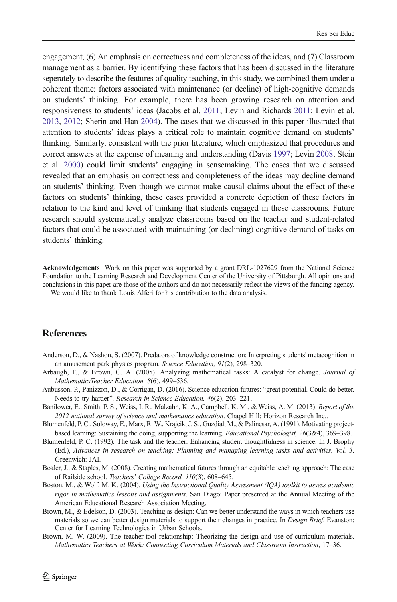<span id="page-21-0"></span>engagement, (6) An emphasis on correctness and completeness of the ideas, and (7) Classroom management as a barrier. By identifying these factors that has been discussed in the literature seperately to describe the features of quality teaching, in this study, we combined them under a coherent theme: factors associated with maintenance (or decline) of high-cognitive demands on students' thinking. For example, there has been growing research on attention and responsiveness to students' ideas (Jacobs et al. [2011](#page-22-0); Levin and Richards [2011;](#page-22-0) Levin et al. [2013](#page-22-0), [2012](#page-22-0); Sherin and Han [2004](#page-23-0)). The cases that we discussed in this paper illustrated that attention to students' ideas plays a critical role to maintain cognitive demand on students' thinking. Similarly, consistent with the prior literature, which emphasized that procedures and correct answers at the expense of meaning and understanding (Davis [1997](#page-22-0); Levin [2008;](#page-22-0) Stein et al. [2000](#page-23-0)) could limit students' engaging in sensemaking. The cases that we discussed revealed that an emphasis on correctness and completeness of the ideas may decline demand on students' thinking. Even though we cannot make causal claims about the effect of these factors on students' thinking, these cases provided a concrete depiction of these factors in relation to the kind and level of thinking that students engaged in these classrooms. Future research should systematically analyze classrooms based on the teacher and student-related factors that could be associated with maintaining (or declining) cognitive demand of tasks on students' thinking.

Acknowledgements Work on this paper was supported by a grant DRL-1027629 from the National Science Foundation to the Learning Research and Development Center of the University of Pittsburgh. All opinions and conclusions in this paper are those of the authors and do not necessarily reflect the views of the funding agency. We would like to thank Louis Alferi for his contribution to the data analysis.

# **References**

- Anderson, D., & Nashon, S. (2007). Predators of knowledge construction: Interpreting students' metacognition in an amusement park physics program. Science Education, 91(2), 298-320.
- Arbaugh, F., & Brown, C. A. (2005). Analyzing mathematical tasks: A catalyst for change. Journal of MathematicsTeacher Education, 8(6), 499–536.
- Aubusson, P., Panizzon, D., & Corrigan, D. (2016). Science education futures: "great potential. Could do better. Needs to try harder". Research in Science Education, 46(2), 203–221.
- Banilower, E., Smith, P. S., Weiss, I. R., Malzahn, K. A., Campbell, K. M., & Weiss, A. M. (2013). Report of the 2012 national survey of science and mathematics education. Chapel Hill: Horizon Research Inc..
- Blumenfeld, P. C., Soloway, E., Marx, R. W., Krajcik, J. S., Guzdial, M., & Palincsar, A. (1991). Motivating projectbased learning: Sustaining the doing, supporting the learning. Educational Psychologist, 26(3&4), 369–398.
- Blumenfeld, P. C. (1992). The task and the teacher: Enhancing student thoughtfulness in science. In J. Brophy (Ed.), Advances in research on teaching: Planning and managing learning tasks and activities, Vol. 3. Greenwich: JAI.
- Boaler, J., & Staples, M. (2008). Creating mathematical futures through an equitable teaching approach: The case of Railside school. Teachers' College Record, 110(3), 608–645.
- Boston, M., & Wolf, M. K. (2004). Using the Instructional Quality Assessment (IQA) toolkit to assess academic rigor in mathematics lessons and assignments. San Diago: Paper presented at the Annual Meeting of the American Educational Research Association Meeting.
- Brown, M., & Edelson, D. (2003). Teaching as design: Can we better understand the ways in which teachers use materials so we can better design materials to support their changes in practice. In *Design Brief*. Evanston: Center for Learning Technologies in Urban Schools.
- Brown, M. W. (2009). The teacher-tool relationship: Theorizing the design and use of curriculum materials. Mathematics Teachers at Work: Connecting Curriculum Materials and Classroom Instruction, 17–36.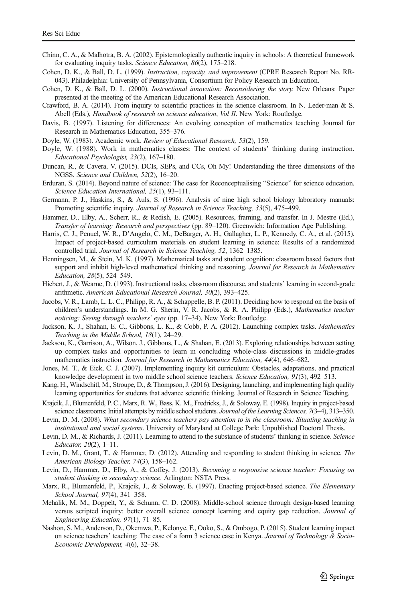- <span id="page-22-0"></span>Chinn, C. A., & Malhotra, B. A. (2002). Epistemologically authentic inquiry in schools: A theoretical framework for evaluating inquiry tasks. Science Education, 86(2), 175–218.
- Cohen, D. K., & Ball, D. L. (1999). Instruction, capacity, and improvement (CPRE Research Report No. RR-043). Philadelphia: University of Pennsylvania, Consortium for Policy Research in Education.
- Cohen, D. K., & Ball, D. L. (2000). Instructional innovation: Reconsidering the story. New Orleans: Paper presented at the meeting of the American Educational Research Association.
- Crawford, B. A. (2014). From inquiry to scientific practices in the science classroom. In N. Leder-man & S. Abell (Eds.), Handbook of research on science education, Vol II. New York: Routledge.
- Davis, B. (1997). Listening for differences: An evolving conception of mathematics teaching Journal for Research in Mathematics Education, 355–376.
- Doyle, W. (1983). Academic work. Review of Educational Research, 53(2), 159.
- Doyle, W. (1988). Work in mathematics classes: The context of students' thinking during instruction. Educational Psychologist, 23(2), 167–180.
- Duncan, R., & Cavera, V. (2015). DCIs, SEPs, and CCs, Oh My! Understanding the three dimensions of the NGSS. Science and Children, 52(2), 16–20.
- Erduran, S. (2014). Beyond nature of science: The case for Reconceptualising "Science" for science education. Science Education International, 25(1), 93–111.
- Germann, P. J., Haskins, S., & Auls, S. (1996). Analysis of nine high school biology laboratory manuals: Promoting scientific inquiry. Journal of Research in Science Teaching, 33(5), 475–499.
- Hammer, D., Elby, A., Scherr, R., & Redish, E. (2005). Resources, framing, and transfer. In J. Mestre (Ed.), Transfer of learning: Research and perspectives (pp. 89–120). Greenwich: Information Age Publishing.
- Harris, C. J., Penuel, W. R., D'Angelo, C. M., DeBarger, A. H., Gallagher, L. P., Kennedy, C. A., et al. (2015). Impact of project-based curriculum materials on student learning in science: Results of a randomized controlled trial. Journal of Research in Science Teaching, 52, 1362–1385.
- Henningsen, M., & Stein, M. K. (1997). Mathematical tasks and student cognition: classroom based factors that support and inhibit high-level mathematical thinking and reasoning. Journal for Research in Mathematics Education, 28(5), 524–549.
- Hiebert, J., & Wearne, D. (1993). Instructional tasks, classroom discourse, and students' learning in second-grade arithmetic. American Educational Research Journal, 30(2), 393–425.
- Jacobs, V. R., Lamb, L. L. C., Philipp, R. A., & Schappelle, B. P. (2011). Deciding how to respond on the basis of children's understandings. In M. G. Sherin, V. R. Jacobs, & R. A. Philipp (Eds.), Mathematics teacher noticing: Seeing through teachers' eyes (pp. 17–34). New York: Routledge.
- Jackson, K. J., Shahan, E. C., Gibbons, L. K., & Cobb, P. A. (2012). Launching complex tasks. Mathematics Teaching in the Middle School, 18(1), 24–29.
- Jackson, K., Garrison, A., Wilson, J., Gibbons, L., & Shahan, E. (2013). Exploring relationships between setting up complex tasks and opportunities to learn in concluding whole-class discussions in middle-grades mathematics instruction. Journal for Research in Mathematics Education, 44(4), 646–682.
- Jones, M. T., & Eick, C. J. (2007). Implementing inquiry kit curriculum: Obstacles, adaptations, and practical knowledge development in two middle school science teachers. Science Education, 91(3), 492–513.
- Kang, H., Windschitl, M., Stroupe, D., & Thompson, J. (2016). Designing, launching, and implementing high quality learning opportunities for students that advance scientific thinking. Journal of Research in Science Teaching.
- Krajcik, J., Blumenfeld, P. C., Marx, R. W., Bass, K. M., Fredricks, J., & Soloway, E. (1998). Inquiry in project-based science classrooms: Initial attempts by middle school students. Journal of the Learning Sciences, 7(3–4), 313–350.
- Levin, D. M. (2008). What secondary science teachers pay attention to in the classroom: Situating teaching in institutional and social systems. University of Maryland at College Park: Unpublished Doctoral Thesis.
- Levin, D. M., & Richards, J. (2011). Learning to attend to the substance of students' thinking in science. Science Educator, 20(2), 1–11.
- Levin, D. M., Grant, T., & Hammer, D. (2012). Attending and responding to student thinking in science. The American Biology Teacher, 74(3), 158–162.
- Levin, D., Hammer, D., Elby, A., & Coffey, J. (2013). Becoming a responsive science teacher: Focusing on student thinking in secondary science. Arlington: NSTA Press.
- Marx, R., Blumenfeld, P., Krajcik, J., & Soloway, E. (1997). Enacting project-based science. The Elementary School Journal, 97(4), 341–358.
- Mehalik, M. M., Doppelt, Y., & Schunn, C. D. (2008). Middle-school science through design-based learning versus scripted inquiry: better overall science concept learning and equity gap reduction. Journal of Engineering Education, 97(1), 71–85.
- Nashon, S. M., Anderson, D., Okemwa, P., Kelonye, F., Ooko, S., & Ombogo, P. (2015). Student learning impact on science teachers' teaching: The case of a form 3 science case in Kenya. Journal of Technology & Socio-Economic Development, 4(6), 32–38.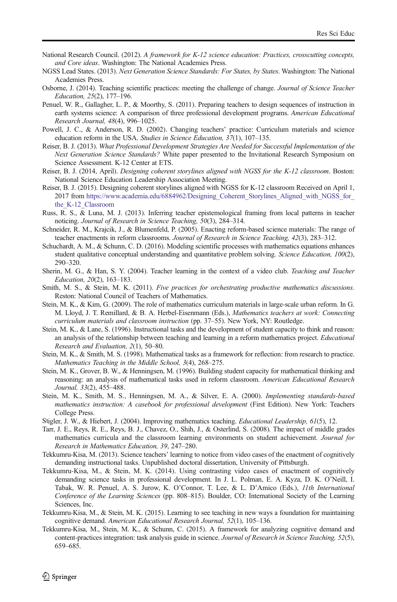- <span id="page-23-0"></span>National Research Council. (2012). A framework for K-12 science education: Practices, crosscutting concepts, and Core ideas. Washington: The National Academies Press.
- NGSS Lead States. (2013). Next Generation Science Standards: For States, by States. Washington: The National Academies Press.
- Osborne, J. (2014). Teaching scientific practices: meeting the challenge of change. Journal of Science Teacher Education, 25(2), 177–196.
- Penuel, W. R., Gallagher, L. P., & Moorthy, S. (2011). Preparing teachers to design sequences of instruction in earth systems science: A comparison of three professional development programs. American Educational Research Journal, 48(4), 996–1025.
- Powell, J. C., & Anderson, R. D. (2002). Changing teachers' practice: Curriculum materials and science education reform in the USA. Studies in Science Education, 37(1), 107–135.
- Reiser, B. J. (2013). What Professional Development Strategies Are Needed for Successful Implementation of the Next Generation Science Standards? White paper presented to the Invitational Research Symposium on Science Assessment. K-12 Center at ETS.
- Reiser, B. J. (2014, April). Designing coherent storylines aligned with NGSS for the K-12 classroom. Boston: National Science Education Leadership Association Meeting.
- Reiser, B. J. (2015). Designing coherent storylines aligned with NGSS for K-12 classroom Received on April 1, 2017 from [https://www.academia.edu/6884962/Designing\\_Coherent\\_Storylines\\_Aligned\\_with\\_NGSS\\_for\\_](https://www.academia.edu/6884962/Designing_Coherent_Storylines_Aligned_with_NGSS_for_the_K-12_Classroom) [the\\_K-12\\_Classroom](https://www.academia.edu/6884962/Designing_Coherent_Storylines_Aligned_with_NGSS_for_the_K-12_Classroom)
- Russ, R. S., & Luna, M. J. (2013). Inferring teacher epistemological framing from local patterns in teacher noticing. Journal of Research in Science Teaching, 50(3), 284–314.
- Schneider, R. M., Krajcik, J., & Blumenfeld, P. (2005). Enacting reform-based science materials: The range of teacher enactments in reform classrooms. Journal of Research in Science Teaching, 42(3), 283–312.
- Schuchardt, A. M., & Schunn, C. D. (2016). Modeling scientific processes with mathematics equations enhances student qualitative conceptual understanding and quantitative problem solving. Science Education, 100(2), 290–320.
- Sherin, M. G., & Han, S. Y. (2004). Teacher learning in the context of a video club. Teaching and Teacher Education, 20(2), 163–183.
- Smith, M. S., & Stein, M. K. (2011). Five practices for orchestrating productive mathematics discussions. Reston: National Council of Teachers of Mathematics.
- Stein, M. K., & Kim, G. (2009). The role of mathematics curriculum materials in large-scale urban reform. In G. M. Lloyd, J. T. Remillard, & B. A. Herbel-Eisenmann (Eds.), Mathematics teachers at work: Connecting curriculum materials and classroom instruction (pp. 37–55). New York, NY: Routledge.
- Stein, M. K., & Lane, S. (1996). Instructional tasks and the development of student capacity to think and reason: an analysis of the relationship between teaching and learning in a reform mathematics project. Educational Research and Evaluation, 2(1), 50–80.
- Stein, M. K., & Smith, M. S. (1998). Mathematical tasks as a framework for reflection: from research to practice. Mathematics Teaching in the Middle School, 3(4), 268–275.
- Stein, M. K., Grover, B. W., & Henningsen, M. (1996). Building student capacity for mathematical thinking and reasoning: an analysis of mathematical tasks used in reform classroom. American Educational Research Journal, 33(2), 455–488.
- Stein, M. K., Smith, M. S., Henningsen, M. A., & Silver, E. A. (2000). Implementing standards-based mathematics instruction: A casebook for professional development (First Edition). New York: Teachers College Press.
- Stigler, J. W., & Hiebert, J. (2004). Improving mathematics teaching. Educational Leadership, 61(5), 12.
- Tarr, J. E., Reys, R. E., Reys, B. J., Chavez, O., Shih, J., & Osterlind, S. (2008). The impact of middle grades mathematics curricula and the classroom learning environments on student achievement. Journal for Research in Mathematics Education, 39, 247–280.
- Tekkumru-Kisa, M. (2013). Science teachers' learning to notice from video cases of the enactment of cognitively demanding instructional tasks. Unpublished doctoral dissertation, University of Pittsburgh.
- Tekkumru-Kisa, M., & Stein, M. K. (2014). Using contrasting video cases of enactment of cognitively demanding science tasks in professional development. In J. L. Polman, E. A. Kyza, D. K. O'Neill, I. Tabak, W. R. Penuel, A. S. Jurow, K. O'Connor, T. Lee, & L. D'Amico (Eds.), 11th International Conference of the Learning Sciences (pp. 808–815). Boulder, CO: International Society of the Learning Sciences, Inc.
- Tekkumru-Kisa, M., & Stein, M. K. (2015). Learning to see teaching in new ways a foundation for maintaining cognitive demand. American Educational Research Journal, 52(1), 105–136.
- Tekkumru-Kisa, M., Stein, M. K., & Schunn, C. (2015). A framework for analyzing cognitive demand and content-practices integration: task analysis guide in science. Journal of Research in Science Teaching, 52(5), 659–685.